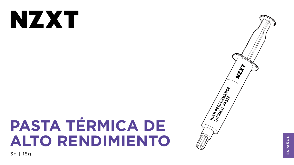# NXX

# **PASTA TÉRMICA DE ALTO RENDIMIENTO** 3g | 15g





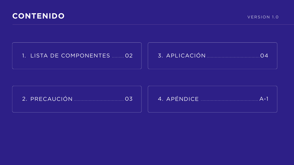# **CONTENIDO**

### 1. LISTA DE COMPONENTES ......... 02

### 



### 



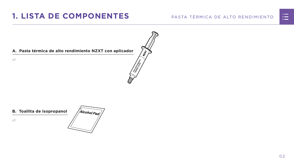#### PASTA TÉRMICA DE ALTO RENDIMIENTO



#### **A. Pasta térmica de alto rendimiento NZXT con aplicador**

x1



# <span id="page-2-0"></span>**1. LISTA DE COMPONENTES**

#### **B. Toallita de isopropanol**

x1

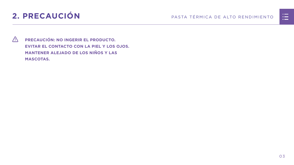# <span id="page-3-0"></span>**2. PRECAUCIÓN** PASTA TÉRMICA DE ALTO RENDIMIENTO

 **PRECAUCIÓN: NO INGERIR EL PRODUCTO. EVITAR EL CONTACTO CON LA PIEL Y LOS OJOS. MANTENER ALEJADO DE LOS NIÑOS Y LAS MASCOTAS.**

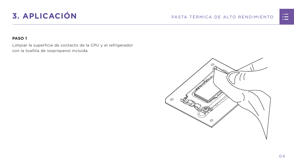# <span id="page-4-0"></span>**3. APLICACIÓN** PASTA TÉRMICA DE ALTO RENDIMIENTO

#### **PASO 1**

Limpiar la superficie de contacto de la CPU y el refrigerador con la toallita de isopropanol incluida.



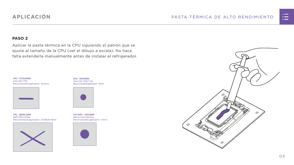



#### **PASO 2**

Aplicar la pasta térmica en la CPU siguiendo el patrón que se ajuste al tamaño de la CPU (ver el dibujo a escala). No hace falta extenderla manualmente antes de instalar el refrigerador.

### **APLICACIÓN**

**CPU - 35X35MM** Intel LGA 1200/115x Recommended application : 10mm



**CPU SIZE - 40X40MM** AM4 & Intel LGA 20xx Recommended application : 15mm



**CPU - 68X50.5MM** AMD STR4/sTRX4 Recommended application : 43.68x26.18mm



**CPU - 37.5X45MM** Intel LGA 1700 Recommended application : 25.8mm

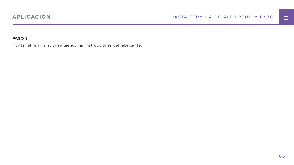#### PASTA TÉRMICA DE ALTO RENDIMIENTO



#### **PASO 3**

Montar el refrigerador siguiendo las instrucciones del fabricante.

### **APLICACIÓN**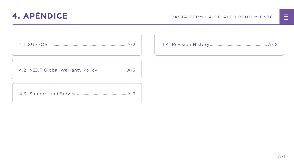

<span id="page-7-0"></span>

[4.2 NZXT Global Warranty Policy................................](#page-9-0) A-3

[4.3 Support and Service.......................................................A-9](#page-15-0)



|  | <u>n in de la</u>                                                                                                     |  |
|--|-----------------------------------------------------------------------------------------------------------------------|--|
|  | <u>ra masa</u>                                                                                                        |  |
|  | <u>a shekara ta 1989, a shekara ta 1989, a shekara ta 1989, a shekara ta 1989, a shekara ta 1989, a shekara ta 19</u> |  |
|  |                                                                                                                       |  |
|  |                                                                                                                       |  |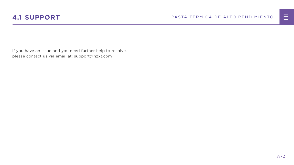



<span id="page-8-0"></span>If you have an issue and you need further help to resolve, please contact us via email at: support@nzxt.com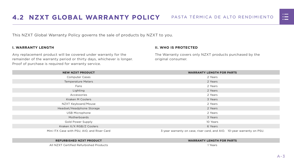



<span id="page-9-0"></span>This NZXT Global Warranty Policy governs the sale of products by NZXT to you.

#### **I. WARRANTY LENGTH**

Any replacement product will be covered under warranty for the remainder of the warranty period or thirty days, whichever is longer. Proof of purchase is required for warranty service.

#### **II. WHO IS PROTECTED**

The Warranty covers only NZXT products purchased by the original consumer.

| <b>NEW NZXT PRODUCT</b>                     | <b>WARRANTY LENGTH FOR PARTS</b>                                       |  |  |
|---------------------------------------------|------------------------------------------------------------------------|--|--|
| <b>Computer Cases</b>                       | 2 Years                                                                |  |  |
| <b>Temperature Meters</b>                   | 2 Years                                                                |  |  |
| Fans                                        | 2 Years                                                                |  |  |
| Lighting                                    | 2 Years                                                                |  |  |
| Accessories                                 | 2 Years                                                                |  |  |
| <b>Kraken M Coolers</b>                     | 3 Years                                                                |  |  |
| NZXT Keyboard/Mouse                         | 2 Years                                                                |  |  |
| Headset/Headphone Storage                   | 2 Years                                                                |  |  |
| <b>USB Microphone</b>                       | 2 Years                                                                |  |  |
| Motherboards                                | 3 Years                                                                |  |  |
| <b>Gold Power Supply</b>                    | 10 Years                                                               |  |  |
| Kraken X/X RGB/Z Coolers                    | 6 Years                                                                |  |  |
| Mini ITX Case with PSU, AIO, and Riser Card | 3-year warranty on case, riser card, and AIO. 10-year warranty on PSU. |  |  |

#### **REFURBISHED NZXT PRODUCT WARRANTY LENGTH FOR PARTS**





All NZXT Certified Refurbished Products 1 Years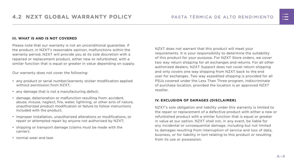#### **III. WHAT IS AND IS NOT COVERED**

Please note that our warranty is not an unconditional guarantee. If the product, in NZXT's reasonable opinion, malfunctions within the warranty period, NZXT will provide you at its sole discretion with a repaired or replacement product, either new or refurbished, with a similar function that is equal or greater in value depending on supply.

Our warranty does not cover the following:

- any product or serial number/warranty sticker modification applied without permission from NZXT;
- any damage that is not a manufacturing defect;
- damage, deterioration or malfunction resulting from: accident, abuse, misuse, neglect, fire, water, lightning, or other acts of nature, unauthorized product modification or failure to follow instructions included with the product;
- improper installation, unauthorized alterations or modifications, or repair or attempted repair by anyone not authorized by NZXT;
- shipping or transport damage (claims must be made with the carrier);
- normal wear and tear.

NZXT does not warrant that this product will meet your requirements. It is your responsibility to determine the suitability of this product for your purpose. For NZXT Store orders, we cover two way return shipping for all exchanges and returns. For all other authorized dealers, NZXT Support does not cover return shipping and only covers one way shipping from NZXT back to the end user for exchanges. Two way expedited shipping is provided for all PSUs covered under the Less Than Three program, indiscriminate of purchase location, provided the location is an approved NZXT reseller.

#### **IV. EXCLUSION OF DAMAGES (DISCLAIMER)**

NZXT's sole obligation and liability under this warranty is limited to the repair or replacement of a defective product with either a new or refurbished product with a similar function that is equal or greater in value at our option. NZXT shall not, in any event, be liable for any incidental or consequential damage, including but not limited to damages resulting from interruption of service and loss of data, business, or for liability in tort relating to this product or resulting from its use or possession.

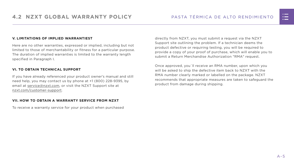#### **V. LIMITATIONS OF IMPLIED WARRANTIEST**

Here are no other warranties, expressed or implied, including but not limited to those of merchantability or fitness for a particular purpose. The duration of implied warranties is limited to the warranty length specified in Paragraph I.

#### **VI. TO OBTAIN TECHNICAL SUPPORT**

If you have already referenced your product owner's manual and still need help, you may contact us by phone at +1 (800) 228-9395, by email at [service@nzxt.com](mailto:service%40nzxt.com?subject=), or visit the NZXT Support site at [nzxt.com/customer-support.](http://nzxt.com/customer-support)

#### **VII. HOW TO OBTAIN A WARRANTY SERVICE FROM NZXT**

To receive a warranty service for your product when purchased

directly from NZXT, you must submit a request via the NZXT Support site outlining the problem. If a technician deems the product defective or requiring testing, you will be required to provide a copy of your proof of purchase, which will enable you to submit a Return Merchandise Authorization "RMA" request.

Once approved, you`ll receive an RMA number, upon which you will be asked to ship the defective item back to NZXT with the RMA number clearly marked or labelled on the package. NZXT recommends that appropriate measures are taken to safeguard the product from damage during shipping.

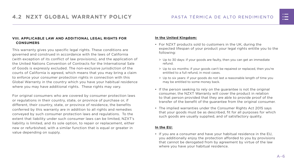#### **VIII. APPLICABLE LAW AND ADDITIONAL LEGAL RIGHTS FOR CONSUMERS**

This warranty gives you specific legal rights. These conditions are governed and construed in accordance with the laws of California (with exception of its conflict of law provisions), and the application of the United Nations Convention of Contracts for the International Sale of Goods is expressly excluded. The non-exclusive jurisdiction of the courts of California is agreed, which means that you may bring a claim to enforce your consumer protection rights in connection with this Global Warranty in the country which you have your habitual residence where you may have additional rights. These rights may vary.

For original consumers who are covered by consumer protection laws or regulations in their country, state, or province of purchase or, if different, their country, state, or province of residence, the benefits conferred by this warranty are in addition to all rights and remedies conveyed by such consumer protection laws and regulations. To the extent that liability under such consumer laws can be limited, NZXT's liability is limited, and its sole option, to repair or replacement, either new or refurbished, with a similar function that is equal or greater in value depending on supply.

#### **In the United Kingdom:**

- For NZXT products sold to customers in the UK, during the expected lifespan of your product your legal rights entitle you to the following:
	- > Up to 30 days: if your goods are faulty, then you can get an immediate refund.
	- > Up to six months: if your goods can't be repaired or replaced, then you're entitled to a full refund, in most cases.
	- > Up to six years: if your goods do not last a reasonable length of time you may be entitled to some money back.
- If the person seeking to rely on the guarantee is not the original consumer, the NZXT Warranty will cover the product in relation to that person provided that they are able to provide proof of the transfer of the benefit of the guarantee from the original consumer.
- The implied warranties under the Consumer Rights Act 2015 says that your goods must be as described, fit for all purposes for which such goods are usually supplied, and of satisfactory quality.

#### **In the EU:**

• If you are a consumer and have your habitual residence in the EU, you additionally enjoy the protection afforded to you by provisions that cannot be derogated from by agreement by virtue of the law where you have your habitual residence.

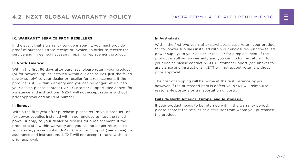#### **IX. WARRANTY SERVICE FROM RESELLERS**

In the event that a warranty service is sought, you must provide proof of purchase (store receipt or invoice) in order to receive the service and if deemed necessary, repair or replacement product.

#### **In North America:**

Within the first 60 days after purchase, please return your product (or for power supplies installed within our enclosures, just the failed power supply) to your dealer or reseller for a replacement. If the product is still within warranty and you can no longer return it to your dealer, please contact NZXT Customer Support (see above) for assistance and instructions. NZXT will not accept returns without prior approval and an RMA number.

#### **In Europe:**

Within the first year after purchase, please return your product (or for power supplies installed within our enclosures, just the failed power supply) to your dealer or reseller for a replacement. If the product is still within warranty and you can no longer return it to your dealer, please contact NZXT Customer Support (see above) for assistance and instructions. NZXT will not accept returns without prior approval.

#### **In Australasia:**

Within the first two years after purchase, please return your product (or for power supplies installed within our enclosures, just the failed power supply) to your dealer or reseller for a replacement. If the product is still within warranty and you can no longer return it to your dealer, please contact NZXT Customer Support (see above) for assistance and instructions. NZXT will not accept returns without prior approval.

The cost of shipping will be borne at the first instance by you; however, if the purchased item is defective, NZXT will reimburse reasonable postage or transportation of costs.

#### **Outside North America, Europe, and Australasia:**

If your product needs to be returned within the warranty period, please contact the retailer or distributor from whom you purchased the product.

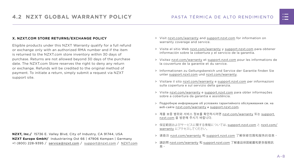#### PASTA TÉRMICA DE ALTO RENDIMIENTO

#### **X. NZXT.COM STORE RETURNS/EXCHANGE POLICY**

Eligible products under this NZXT Warranty qualify for a full refund or exchange only with an authorized RMA number and if the item is returned to the NZXT.com store inventory within 30 days of purchase. Returns are not allowed beyond 30 days of the purchase date. The NZXT.com Store reserves the right to deny any return or exchange. Refunds will be credited to the original method of payment. To initiate a return, simply submit a request via NZXT support site.

- > Visit [nzxt.com/warranty](http://nzxt.com/warranty) and [support.nzxt.com](http://support.nzxt.com) for information on warranty coverage and service.
- > Visite el sitio Web [nzxt.com/warranty](http://nzxt.com/warranty) y [support.nzxt.com](http://support.nzxt.com) para obtener información sobre la cobertura y el servicio de la garantía.
- > Visitez [nzxt.com/warranty](http://nzxt.com/warranty) et [support.nzxt.com](http://support.nzxt.com) pour les informations de la couverture de la garantie et du service.
- > Informationen zu Geltungsbereich und Service der Garantie finden Sie unter [support.nzxt.com](http://support.nzxt.com) und [nzxt.com/warranty.](http://nzxt.com/warranty)
- > Visitare il sito [nzxt.com/warranty](http://nzxt.com/warranty) e [support.nzxt.com](http://support.nzxt.com) per informazioni sulla copertura e sul servizio della garanzia.
- > Visite [nzxt.com/warranty](http://nzxt.com/warranty) e [support.nzxt.com](http://support.nzxt.com) para obter informações sobre a cobertura da garantia e assistência.
- > Подробную информацию об условиях гарантийного обслуживания см. на веб-сайте [nzxt.com/warranty](http://nzxt.com/warranty) и [support.nzxt.com](http://support.nzxt.com).
- > 제품 보증 범위와 서비스 정보를 확인하시려면 [nzxt.com/warranty](http://nzxt.com/warranty) 또는 [support.](http://support.nzxt.com) [nzxt.com](http://support.nzxt.com) 을 방문해 주시기 바랍니다.
- > 保証範囲およびサービスに関する情報については、[support.nzxt.com](http://support.nzxt.com) と [nzxt.com/](http://nzxt.com/warranty) [warranty](http://nzxt.com/warranty) にアクセスしてください。
- > 请造访 nzxt.com/warranty 和 [support.nzxt.com](http://support.nzxt.com) 了解保修范围和服务的信息。
- > 請訪問 [nzxt.com/warranty](http://nzxt.com/warranty) 和 [support.nzxt.com](http://support.nzxt.com) 了解產品保固範圍和更多服務訊 息。



**NZXT, Inc./** 15736 E. Valley Blvd, City of Industry, CA 91744, USA **NZXT Europe GmbH/** Industriering Ost 66 | 47906 Kempen | Germany +1 (800) 228-9395 / service@nzxt.com / [support@nzxt.com](mailto:support%40nzxt.com?subject=) / NZX[T.com](http://nzxt.com)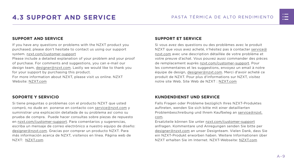

# <span id="page-15-0"></span>**4.3 SUPPORT AND SERVICE** PASTA TÉRMICA DE ALTO RENDIMIENTO

#### **SUPPORT AND SERVICE**

If you have any questions or problems with the NZXT product you purchased, please don't hesitate to contact us using our support system. [nzxt.com/customer-support](http://nzxt.com/customer-support)

Please include a detailed explanation of your problem and your proof of purchase. For comments and suggestions, you can e-mail our design team, [designer@nzxt.com.](mailto:designer%40nzxt.com?subject=) Lastly we would like to thank you for your support by purchasing this product.

For more information about NZXT, please visit us online. NZXT Website: NZX[T.com](http://nzxt.com)

#### **SOPORTE Y SERVICIO**

Si tiene preguntas o problemas con el producto NZXT que usted compró, no dude en ponerse en contacto con [service@nzxt.com](mailto:service%40nzxt.com?subject=) y suministrar una explicación detallada de su problema así como su prueba de compra. Puede hacer consultas sobre piezas de repuesto en [nzxt.com/customer-support.](http://nzxt.com/customer-support) Para comentarios y sugerencias, escriba un mensaje de correo electrónico a nuestro equipo de diseño: [designer@nzxt.com.](mailto:designer%40nzxt.com?subject=) Gracias por comprar un producto NZXT. Para más información acerca de NZXT, visítenos en línea. Página web de NZXT: NZX[T.com](http://nzxt.com)

#### **SUPPORT ET SERVICE**

Si vous avez des questions ou des problèmes avec le produit NZXT que vous avez acheté, n'hésitez pas à contacter service@ nzxt.com avec une description détaillée de votre problème et votre preuve d'achat. Vous pouvez aussi commander des pièces de remplacement auprès [nzxt.com/customer-support.](http://nzxt.com/customer-support) Pour les commentaires et les suggestions, envoyez un email à notre équipe de design, [designer@nzxt.com.](mailto:designer%40nzxt.com?subject=) Merci d'avoir acheté ce produit de NZXT. Pour plus d'informations sur NZXT, visitez notre site Web. Site Web de NZXT : NZX[T.com](http://nzxt.com)

#### **KUNDENDIENST UND SERVICE**

Falls Fragen oder Probleme bezüglich Ihres NZXT-Produktes auftreten, wenden Sie sich bitte mit einer detaillierten Problembeschreibung und Ihrem Kaufbeleg an [service@nzxt.](mailto:service%40nzxt.com?subject=) [com](mailto:service%40nzxt.com?subject=).

Ersatzteile können Sie unter [nzxt.com/customer-support](http://nzxt.com/customer-support) anfragen. Kommentare und Anregungen senden Sie bitte per [designer@nzxt.com](mailto:designer%40nzxt.com?subject=) an unser Designteam. Vielen Dank, dass Sie ein NZXT-Produkt erworben haben. Weitere Informationen über NZXT erhalten Sie im Internet. NZXT-Webseite: NZX[T.com](http://nzxt.com)

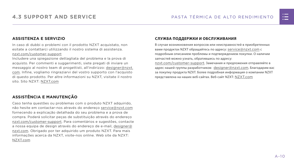#### **ASSISTENZA E SERVIZIO**

In caso di dubbi o problemi con il prodotto NZXT acquistato, non esitate a contattarci utilizzando il nostro sistema di assistenza. [nzxt.com/customer-support](http://nzxt.com/customer-support)

Includere una spiegazione dettagliata del problema e la prova di acquisto. Per commenti e suggerimenti, siete pregati di inviare un messaggio al nostro team di progettisti, all'indirizzo: [designer@nzxt.](mailto:designer%40nzxt.com?subject=) [com](mailto:designer%40nzxt.com?subject=). Infine, vogliamo ringraziarvi del vostro supporto con l'acquisto di questo prodotto. Per altre informazioni su NZXT, visitate il nostro sito. Sito NZXT: NZX[T.com](http://nzxt.com)

В случае возникновения вопросов или неисправностей в приобретенных вами продуктах NZXT обращайтесь по адресу: [service@nzxt.com](mailto:service%40nzxt.com?subject=) с подробным описанием проблемы и подтверждением покупки. О наличии запчастей можно узнать, обратившись по адресу: [nzxt.com/customer-support](http://nzxt.com/customer-support). Замечания и предложения отправляйте в адрес нашей группы разработчиков: [designer@nzxt.com](mailto:designer%40nzxt.com?subject=). Благодарим вас

### **ASSISTÊNCIA E MANUTENÇÃO**

Caso tenha questões ou problemas com o produto NZXT adquirido, não hesite em contactar-nos através do endereço [service@nzxt.com](mailto:service%40nzxt.com?subject=) fornecendo a explicação detalhada do seu problema e a prova de compra. Poderá solicitar peças de substituição através do endereço [nzxt.com/customer-support.](http://nzxt.com/customer-support) Para comentários e sugestões, contacte a nossa equipa de design através do endereço de e-mail, [designer@](mailto:designer%40nzxt.com?subject=) [nzxt.com.](mailto:designer%40nzxt.com?subject=) Obrigado por ter adquirido um produto NZXT. Para mais informações acerca da NZXT, visite-nos online. Web site da NZXT: NZX[T.com](http://nzxt.com)

#### **СЛУЖБА ПОДДЕРЖКИ И ОБСЛУЖИВАНИЯ**

за покупку продукта NZXT. Более подробная информация о компании NZXT представлена на наших веб-сайтах. Веб-сайт NZXT: NZX[T.com](http://nzxt.com)

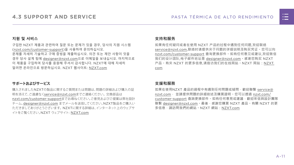

#### **지원 및 서비스**

구입한 NZXT 제품과 관련하여 질문 또는 문제가 있을 경우, 당사의 지원 시스템 ([nzxt.com/customer-support\)](http://nzxt.com/customer-support)을 사용하여 문의하십시오. 문제를 자세히 기술하고 구매 증빙을 제출하십시오. 의견 또는 제안 사항이 잇을 경우 당사 설계 팀에 [designer@nzxt.com](mailto:designer%40nzxt.com?subject=)으로 이메일을 보내십시오. 마지막으로 이 제품을 구입하여 당사를 응원해 주셔서 감사합니다. NZXT에 대해 자세히 알려면 온라인으로 방문하십시오. NZXT 웹사이트: NZX[T.com](http://nzxt.com)

#### **サポートおよびサービス**

購入されましたNZXTの製品に関するご質問または問題は、問題の詳細および購入の証 明を添えて、ご遠慮なく[service@nzxt.com](mailto:service%40nzxt.com?subject=)までご連絡ください。交換部品は [nzxt.com/customer-support](http://nzxt.com/customer-support)までお尋ねください。ご意見およびご提案は弊社設計 チーム、[designer@nzxt.com](mailto:designer%40nzxt.com?subject=) までメールを送信してください。NZXT製品をご購入い ただきましてありがとうございます。 NZXTに関する詳細は、インターネット上のウェブサ イトをご覧ください。NZXT ウェブサイト: NZX[T.com](http://nzxt.com)

#### **支持和服务**

如果有任何疑问或者在使用 NZXT 产品的过程中遇到任何问题,欢迎联络 [service@nzxt.com,](mailto:service%40nzxt.com?subject=)联络时请提供关于问题的详细说明及购买凭证。您可以向 [nzxt.com/customer-support](http://nzxt.com/customer-support) 查询更换部件。如有任何意见或建议,欢迎致信 我们的设计团队,电子邮件地址是 designer@nzxt.com。感谢您购买 NZXT 产品。有关 NZXT 的更多信息,请造访我们的在线网站。NZXT 网站:NZX[T.](http://nzxt.com) [com](http://nzxt.com)

#### **支援和服務**

如果在使用NZXT 產品的過程中有遇到任何問題或疑問,歡迎聯繫 [service@](mailto:service%40nzxt.com?subject=) [nzxt.com](mailto:service%40nzxt.com?subject=), 並請提供問題的詳細敘述及購買證明。您可以透過 [nzxt.com/](http://nzxt.com/customer-support) [customer-support](http://nzxt.com/customer-support) 查詢更換部件。如有任何意見或建議,歡迎來信與設計團隊 聯繫 designer@nzxt.com。最後,感謝您購買 NZXT 產品。有關 NZXT 的更 多信息,請訪問我們的網站。NZXT 網站: NZXT.com